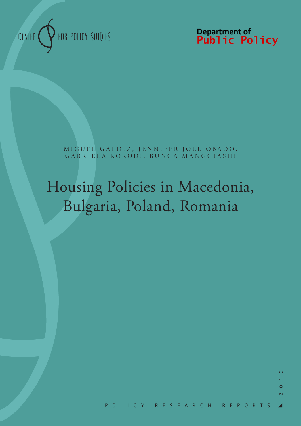

Department of<br>**Public Policy** 

MIGUEL GALDIZ, JENNIFER JOEL-OBADO, GABRIELA KORODI, BUNGA MANGGIASIH

# Housing Policies in Macedonia, Bulgaria, Poland, Romania

 $\infty$ 

 $\circ$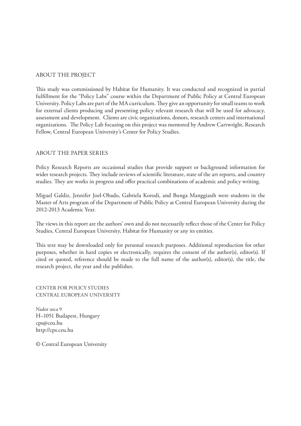#### ABOUT THE PROJECT

This study was commissioned by Habitat for Humanity. It was conducted and recognized in partial fulfillment for the "Policy Labs" course within the Department of Public Policy at Central European University. Policy Labs are part of the MA curriculum. They give an opportunity for small teams to work for external clients producing and presenting policy relevant research that will be used for advocacy, assessment and development. Clients are civic organizations, donors, research centers and international organizations. The Policy Lab focusing on this project was mentored by Andrew Cartwright, Research Fellow, Central European University's Center for Policy Studies.

#### ABOUT THE PAPER SERIES

Policy Research Reports are occasional studies that provide support or background information for wider research projects. They include reviews of scientific literature, state of the art reports, and country studies. They are works in progress and offer practical combinations of academic and policy writing.

Miguel Galdiz, Jennifer Joel-Obado, Gabriela Korodi, and Bunga Manggiasih were students in the Master of Arts program of the Department of Public Policy at Central European University during the 2012-2013 Academic Year.

The views in this report are the authors' own and do not necessarily reflect those of the Center for Policy Studies, Central European University, Habitat for Humanity or any its entities.

This text may be downloaded only for personal research purposes. Additional reproduction for other purposes, whether in hard copies or electronically, requires the consent of the author(s), editor(s). If cited or quoted, reference should be made to the full name of the author(s), editor(s), the title, the research project, the year and the publisher.

CENTER FOR POLICY STUDIES CENTRAL EUROPEAN UNIVERSITY

Nador utca 9 H–1051 Budapest, Hungary cps@ceu.hu http://cps.ceu.hu

© Central European University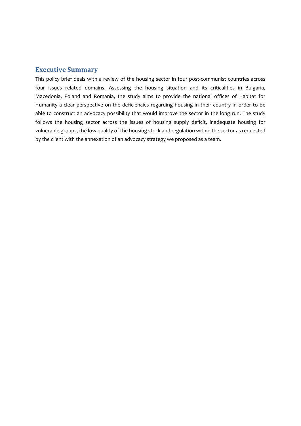#### **Executive Summary**

This policy brief deals with a review of the housing sector in four post-communist countries across four issues related domains. Assessing the housing situation and its criticalities in Bulgaria, Macedonia, Poland and Romania, the study aims to provide the national offices of Habitat for Humanity a clear perspective on the deficiencies regarding housing in their country in order to be able to construct an advocacy possibility that would improve the sector in the long run. The study follows the housing sector across the issues of housing supply deficit, inadequate housing for vulnerable groups, the low quality of the housing stock and regulation within the sector as requested by the client with the annexation of an advocacy strategy we proposed as a team.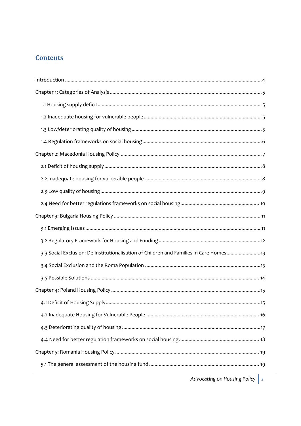# **Contents**

| 3.3 Social Exclusion: De-institutionalisation of Children and Families in Care Homes13 |
|----------------------------------------------------------------------------------------|
|                                                                                        |
|                                                                                        |
|                                                                                        |
| 15                                                                                     |
|                                                                                        |
|                                                                                        |
|                                                                                        |
|                                                                                        |
|                                                                                        |

Advocating on Housing Policy 2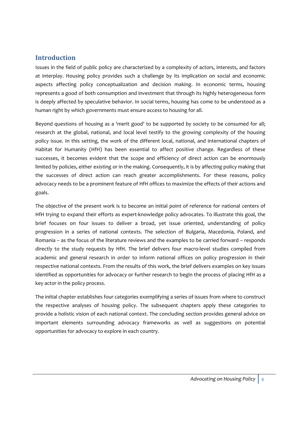# **Introduction**

Issues in the field of public policy are characterized by a complexity of actors, interests, and factors at interplay. Housing policy provides such a challenge by its implication on social and economic aspects affecting policy conceptualization and decision making. In economic terms, housing represents a good of both consumption and investment that through its highly heterogeneous form is deeply affected by speculative behavior. In social terms, housing has come to be understood as a human right by which governments must ensure access to housing for all.

Beyond questions of housing as a 'merit good' to be supported by society to be consumed for all; research at the global, national, and local level testify to the growing complexity of the housing policy issue. In this setting, the work of the different local, national, and international chapters of Habitat for Humanity (HfH) has been essential to affect positive change. Regardless of these successes, it becomes evident that the scope and efficiency of direct action can be enormously limited by policies, either existing or in the making. Consequently, it is by affecting policy making that the successes of direct action can reach greater accomplishments. For these reasons, policy advocacy needs to be a prominent feature of HfH offices to maximize the effects of their actions and goals.

The objective of the present work is to become an initial point of reference for national centers of HfH trying to expand their efforts as expert-knowledge policy advocates. To illustrate this goal, the brief focuses on four issues to deliver a broad, yet issue oriented, understanding of policy progression in a series of national contexts. The selection of Bulgaria, Macedonia, Poland, and Romania – as the focus of the literature reviews and the examples to be carried forward – responds directly to the study requests by HfH. The brief delivers four macro-level studies compiled from academic and general research in order to inform national offices on policy progression in their respective national contexts. From the results of this work, the brief delivers examples on key issues identified as opportunities for advocacy or further research to begin the process of placing HfH as a key actor in the policy process.

The initial chapter establishes four categories exemplifying a series of issues from where to construct the respective analyses of housing policy. The subsequent chapters apply these categories to provide a holistic vision of each national context. The concluding section provides general advice on important elements surrounding advocacy frameworks as well as suggestions on potential opportunities for advocacy to explore in each country.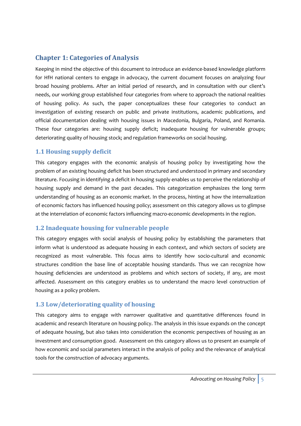# **Chapter 1: Categories of Analysis**

Keeping in mind the objective of this document to introduce an evidence‐based knowledge platform for HfH national centers to engage in advocacy, the current document focuses on analyzing four broad housing problems. After an initial period of research, and in consultation with our client's needs, our working group established four categories from where to approach the national realities of housing policy. As such, the paper conceptualizes these four categories to conduct an investigation of existing research on public and private institutions, academic publications, and official documentation dealing with housing issues in Macedonia, Bulgaria, Poland, and Romania. These four categories are: housing supply deficit; inadequate housing for vulnerable groups; deteriorating quality of housing stock; and regulation frameworks on social housing.

# **1.1 Housing supply deficit**

This category engages with the economic analysis of housing policy by investigating how the problem of an existing housing deficit has been structured and understood in primary and secondary literature. Focusing in identifying a deficit in housing supply enables us to perceive the relationship of housing supply and demand in the past decades. This categorization emphasizes the long term understanding of housing as an economic market. In the process, hinting at how the internalization of economic factors has influenced housing policy; assessment on this category allows us to glimpse at the interrelation of economic factors influencing macro-economic developments in the region.

# **1.2 Inadequate housing for vulnerable people**

This category engages with social analysis of housing policy by establishing the parameters that inform what is understood as adequate housing in each context, and which sectors of society are recognized as most vulnerable. This focus aims to identify how socio-cultural and economic structures condition the base line of acceptable housing standards. Thus we can recognize how housing deficiencies are understood as problems and which sectors of society, if any, are most affected. Assessment on this category enables us to understand the macro level construction of housing as a policy problem.

# **1.3 Low/deteriorating quality of housing**

This category aims to engage with narrower qualitative and quantitative differences found in academic and research literature on housing policy. The analysis in this issue expands on the concept of adequate housing, but also takes into consideration the economic perspectives of housing as an investment and consumption good. Assessment on this category allows us to present an example of how economic and social parameters interact in the analysis of policy and the relevance of analytical tools for the construction of advocacy arguments.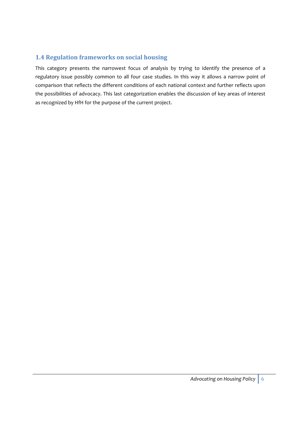# **1.4 Regulation frameworks on social housing**

This category presents the narrowest focus of analysis by trying to identify the presence of a regulatory issue possibly common to all four case studies. In this way it allows a narrow point of comparison that reflects the different conditions of each national context and further reflects upon the possibilities of advocacy. This last categorization enables the discussion of key areas of interest as recognized by HfH for the purpose of the current project.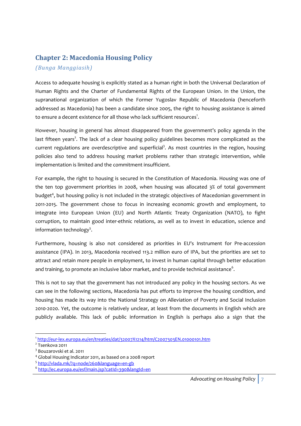# **Chapter 2: Macedonia Housing Policy**

#### *(Bunga Manggiasih)*

Access to adequate housing is explicitly stated as a human right in both the Universal Declaration of Human Rights and the Charter of Fundamental Rights of the European Union. In the Union, the supranational organization of which the Former Yugoslav Republic of Macedonia (henceforth addressed as Macedonia) has been a candidate since 2005, the right to housing assistance is aimed to ensure a decent existence for all those who lack sufficient resources $^{\text{!}}$ .

However, housing in general has almost disappeared from the government's policy agenda in the last fifteen years<sup>2</sup>. The lack of a clear housing policy guidelines becomes more complicated as the current regulations are overdescriptive and superficial<sup>3</sup>. As most countries in the region, housing policies also tend to address housing market problems rather than strategic intervention, while implementation is limited and the commitment insufficient.

For example, the right to housing is secured in the Constitution of Macedonia. Housing was one of the ten top government priorities in 2008, when housing was allocated 3% of total government budget<sup>4</sup>, but housing policy is not included in the strategic objectives of Macedonian government in 2011‐2015. The government chose to focus in increasing economic growth and employment, to integrate into European Union (EU) and North Atlantic Treaty Organization (NATO), to fight corruption, to maintain good inter‐ethnic relations, as well as to invest in education, science and information technology<sup>5</sup>.

Furthermore, housing is also not considered as priorities in EU's Instrument for Pre‐accession assistance (IPA). In 2013, Macedonia received 113.2 million euro of IPA, but the priorities are set to attract and retain more people in employment, to invest in human capital through better education and training, to promote an inclusive labor market, and to provide technical assistance $^6$ .

This is not to say that the government has not introduced any policy in the housing sectors. As we can see in the following sections, Macedonia has put efforts to improve the housing condition, and housing has made its way into the National Strategy on Alleviation of Poverty and Social Inclusion 2010‐2020. Yet, the outcome is relatively unclear, at least from the documents in English which are publicly available. This lack of public information in English is perhaps also a sign that the

<sup>1</sup> http://eur‐lex.europa.eu/en/treaties/dat/32007X1214/htm/C2007303EN.01000101.htm

<sup>2</sup> Tsenkova 2011

<sup>3</sup> Bouzarovski et al. 2011

<sup>4</sup> Global Housing Indicator 2011, as based on a 2008 report

<sup>5</sup> http://vlada.mk/?q=node/260&language=en-gb

<sup>6</sup> http://ec.europa.eu/esf/main.jsp?catId=390&langId=en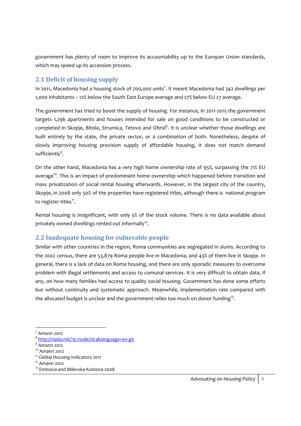government has plenty of room to improve its accountability up to the Europan Union standards, which may speed up its accession process.

#### **2.1 Deficit of housing supply**

In 2011, Macedonia had a housing stock of 700,000 units<sup>7</sup>. It meant Macedonia had 342 dwellings per 1,000 inhabitants – 12% below the South East Europe average and 27% below EU 27 average.

The government has tried to boost the supply of housing. For instance, in 2011‐2015 the government targets 1,296 apartments and houses intended for sale on good conditions to be constructed or completed in Skopje, Bitola, Strumica, Tetovo and Ohrid<sup>8</sup>. It is unclear whether those dwellings are built entirely by the state, the private sector, or a combination of both. Nonetheless, despite of slowly improving housing provision supply of affordable housing, it does not match demand sufficiently<sup>9</sup>.

On the other hand, Macedonia has a very high home ownership rate of 95%, surpassing the 71% EU average<sup>10</sup>. This is an impact of predominant home ownership which happened before transition and mass privatization of social rental housing afterwards. However, in the largest city of the country, Skopje, in 2008 only 50% of the properties have registered titles, although there is national program to register titles $11$ .

Rental housing is insignificant, with only 5% of the stock volume. There is no data available about privately owned dwellings rented out informally<sup>12</sup>.

# **2.2 Inadequate housing for vulnerable people**

Similar with other countries in the region, Roma communities are segregated in slums. According to the 2002 census, there are 53,879 Roma people live in Macedonia, and 43% of them live in Skopje. In general, there is a lack of data on Roma housing, and there are only sporadic measures to overcome problem with illegal settlements and access to comunal services. It is very difficult to obtain data, if any, on how many families had access to quality social housing. Government has done some efforts but without continuity and systematic approach. Meanwhile, implementation rate compared with the allocated budget is unclear and the government relies too much on donor funding<sup>13</sup>.

 $<sup>7</sup>$  Amann 2012</sup>

<sup>8</sup> http://vlada.mk/?q=node/263&language=en‐gb

 $9$  Amann 2012

 $10$  Amann 2012

<sup>&</sup>lt;sup>11</sup> Global Housing Indicators 2011

 $12$  Amann 2012

<sup>&</sup>lt;sup>13</sup> Eminova and Milevska-Kostova 2008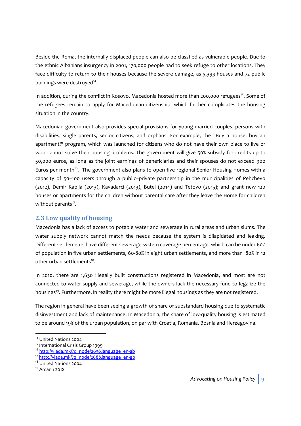Beside the Roma, the internally displaced people can also be classfied as vulnerable people. Due to the ethnic Albanians insurgency in 2001, 170,000 people had to seek refuge to other locations. They face difficulty to return to their houses because the severe damage, as 5,393 houses and 72 public buildings were destroyed<sup>14</sup>.

In addition, during the conflict in Kosovo, Macedonia hosted more than 200,000 refugees<sup>15</sup>. Some of the refugees remain to apply for Macedonian citizenship, which further complicates the housing situation in the country.

Macedonian government also provides special provisions for young married couples, persons with disabilities, single parents, senior citizens, and orphans. For example, the "Buy a house, buy an apartment!" program, which was launched for citizens who do not have their own place to live or who cannot solve their housing problems. The government will give 50% subsidy for credits up to 50,000 euros, as long as the joint earnings of beneficiaries and their spouses do not exceed 900 Euros per month<sup>16</sup>. The government also plans to open five regional Senior Housing Homes with a capacity of 50–100 users through a public–private partnership in the municipalities of Pehchevo (2012), Demir Kapija (2013), Kavadarci (2013), Butel (2014) and Tetovo (2015); and grant new 120 houses or apartments for the children without parental care after they leave the Home for children without parents<sup>17</sup>.

# **2.3 Low quality of housing**

Macedonia has a lack of access to potable water and sewerage in rural areas and urban slums. The water supply network cannot match the needs because the system is dilapidated and leaking. Different settlements have different sewerage system coverage percentage, which can be under 60% of population in five urban settlements, 60‐80% in eight urban settlements, and more than 80% in 12 other urban settlements $18$ .

In 2010, there are 1,630 illegally built constructions registered in Macedonia, and most are not connected to water supply and sewerage, while the owners lack the necessary fund to legalize the housings<sup>19</sup>. Furthermore, in reality there might be more illegal housings as they are not registered.

The region in general have been seeing a growth of share of substandard housing due to systematic disinvestment and lack of maintenance. In Macedonia, the share of low-quality housing is estimated to be around 19% of the urban population, on par with Croatia, Romania, Bosnia and Herzegovina.

<sup>&</sup>lt;sup>14</sup> United Nations 2004

<sup>&</sup>lt;sup>15</sup> International Crisis Group 1999

<sup>16</sup> http://vlada.mk/?q=node/263&language=en‐gb

<sup>17</sup> http://vlada.mk/?q=node/268&language=en‐gb

<sup>&</sup>lt;sup>18</sup> United Nations 2004

<sup>19</sup> Amann 2012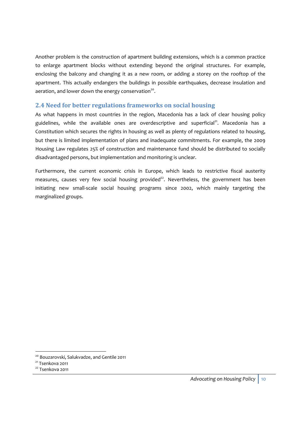Another problem is the construction of apartment building extensions, which is a common practice to enlarge apartment blocks without extending beyond the original structures. For example, enclosing the balcony and changing it as a new room, or adding a storey on the rooftop of the apartment. This actually endangers the buildings in possible earthquakes, decrease insulation and aeration, and lower down the energy conservation<sup>20</sup>.

#### **2.4 Need for better regulations frameworks on social housing**

As what happens in most countries in the region, Macedonia has a lack of clear housing policy guidelines, while the available ones are overdescriptive and superficial $21$ . Macedonia has a Constitution which secures the rights in housing as well as plenty of regulations related to housing, but there is limited implementation of plans and inadequate commitments. For example, the 2009 Housing Law regulates 25% of construction and maintenance fund should be distributed to socially disadvantaged persons, but implementation and monitoring is unclear.

Furthermore, the current economic crisis in Europe, which leads to restrictive fiscal austerity measures, causes very few social housing provided<sup>22</sup>. Nevertheless, the government has been initiating new small-scale social housing programs since 2002, which mainly targeting the marginalized groups.

<sup>&</sup>lt;u> Andreas Andreas Andreas Andreas Andreas Andreas Andreas Andreas Andreas Andreas Andreas Andreas Andreas Andr</u> <sup>20</sup> Bouzarovski, Salukvadze, and Gentile 2011

<sup>&</sup>lt;sup>21</sup> Tsenkova 2011

<sup>22</sup> Tsenkova 2011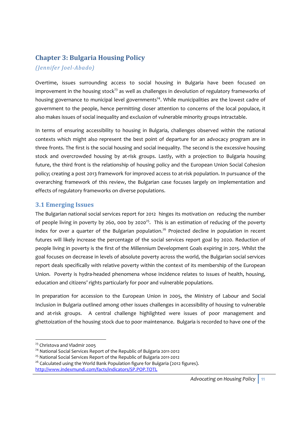# **Chapter 3: Bulgaria Housing Policy**

#### *(Jennifer JoelAbado)*

Overtime, issues surrounding access to social housing in Bulgaria have been focused on improvement in the housing stock<sup>23</sup> as well as challenges in devolution of regulatory frameworks of housing governance to municipal level governments<sup>24</sup>. While municipalities are the lowest cadre of government to the people, hence permitting closer attention to concerns of the local populace, it also makes issues of social inequality and exclusion of vulnerable minority groups intractable.

In terms of ensuring accessibility to housing in Bulgaria, challenges observed within the national contexts which might also represent the best point of departure for an advocacy program are in three fronts. The first is the social housing and social inequality. The second is the excessive housing stock and overcrowded housing by at-risk groups. Lastly, with a projection to Bulgaria housing future, the third front is the relationship of housing policy and the European Union Social Cohesion policy; creating a post 2013 framework for improved access to at-risk population. In pursuance of the overarching framework of this review, the Bulgarian case focuses largely on implementation and effects of regulatory frameworks on diverse populations.

#### **3.1 Emerging Issues**

The Bulgarian national social services report for 2012 hinges its motivation on reducing the number of people living in poverty by 260, 000 by 2020<sup>25</sup>. This is an estimation of reducing of the poverty index for over a quarter of the Bulgarian population.<sup>26</sup> Projected decline in population in recent futures will likely increase the percentage of the social services report goal by 2020. Reduction of people living in poverty is the first of the Millennium Development Goals expiring in 2015. Whilst the goal focuses on decrease in levels of absolute poverty across the world, the Bulgarian social services report deals specifically with relative poverty within the context of its membership of the European Union. Poverty is hydra‐headed phenomena whose incidence relates to issues of health, housing, education and citizens' rights particularly for poor and vulnerable populations.

In preparation for accession to the European Union in 2005, the Ministry of Labour and Social Inclusion in Bulgaria outlined among other issues challenges in accessibility of housing to vulnerable and at-risk groups. A central challenge highlighted were issues of poor management and ghettoization of the housing stock due to poor maintenance. Bulgaria is recorded to have one of the

<sup>&</sup>lt;sup>23</sup> Christova and Vladmir 2005

<sup>&</sup>lt;sup>24</sup> National Social Services Report of the Republic of Bulgaria 2011-2012

<sup>25</sup> National Social Services Report of the Republic of Bulgaria 2011‐2012

<sup>&</sup>lt;sup>26</sup> Calculated using the World Bank Population figure for Bulgaria (2012 figures). http://www.indexmundi.com/facts/indicators/SP.POP.TOTL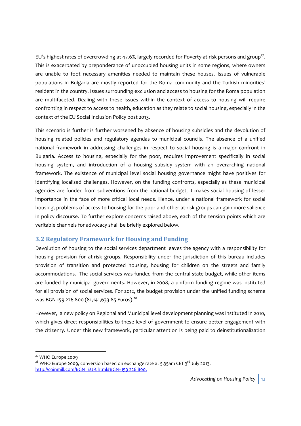EU's highest rates of overcrowding at 47.6%, largely recorded for Poverty-at-risk persons and group<sup>27</sup>. This is exacerbated by preponderance of unoccupied housing units in some regions, where owners are unable to foot necessary amenities needed to maintain these houses. Issues of vulnerable populations in Bulgaria are mostly reported for the Roma community and the Turkish minorities' resident in the country. Issues surrounding exclusion and access to housing for the Roma population are multifaceted. Dealing with these issues within the context of access to housing will require confronting in respect to access to health, education as they relate to social housing, especially in the context of the EU Social Inclusion Policy post 2013.

This scenario is further is further worsened by absence of housing subsidies and the devolution of housing related policies and regulatory agendas to municipal councils. The absence of a unified national framework in addressing challenges in respect to social housing is a major confront in Bulgaria. Access to housing, especially for the poor, requires improvement specifically in social housing system, and introduction of a housing subsidy system with an overarching national framework. The existence of municipal level social housing governance might have positives for identifying localised challenges. However, on the funding confronts, especially as these municipal agencies are funded from subventions from the national budget, it makes social housing of lesser importance in the face of more critical local needs. Hence, under a national framework for social housing, problems of access to housing for the poor and other at-risk groups can gain more salience in policy discourse. To further explore concerns raised above, each of the tension points which are veritable channels for advocacy shall be briefly explored below**.**

# **3.2 Regulatory Framework for Housing and Funding**

Devolution of housing to the social services department leaves the agency with a responsibility for housing provision for at-risk groups. Responsibility under the jurisdiction of this bureau includes provision of transition and protected housing, housing for children on the streets and family accommodations. The social services was funded from the central state budget, while other items are funded by municipal governments. However, in 2008, a uniform funding regime was instituted for all provision of social services. For 2012, the budget provision under the unified funding scheme was BGN 159 226 800 (81,141,633.85 Euros).<sup>28</sup>

However, a new policy on Regional and Municipal level development planning was instituted in 2010, which gives direct responsibilities to these level of government to ensure better engagement with the citizenry. Under this new framework, particular attention is being paid to deinstitutionalization

<sup>&</sup>lt;u> Andreas Andreas Andreas Andreas Andreas Andreas Andreas Andreas Andreas Andreas Andreas Andreas Andreas Andr</u> <sup>27</sup> WHO Europe 2009

 $28$  WHO Europe 2009, conversion based on exchange rate at 5.35am CET 3<sup>rd</sup> July 2013. http://coinmill.com/BGN\_EUR.html#BGN=159 226 800.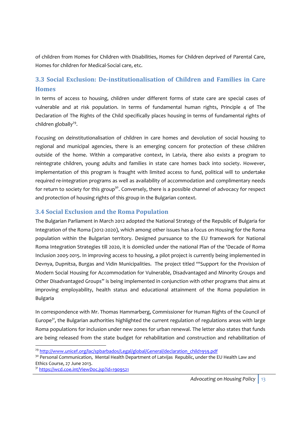of children from Homes for Children with Disabilities, Homes for Children deprived of Parental Care, Homes for children for Medical‐Social care, etc.

# **3.3 Social Exclusion: Deinstitutionalisation of Children and Families in Care Homes**

In terms of access to housing, children under different forms of state care are special cases of vulnerable and at risk population. In terms of fundamental human rights, Principle 4 of The Declaration of The Rights of the Child specifically places housing in terms of fundamental rights of children globally $^{29}$ .

Focusing on deinstitutionalisation of children in care homes and devolution of social housing to regional and municipal agencies, there is an emerging concern for protection of these children outside of the home. Within a comparative context, in Latvia, there also exists a program to reintegrate children, young adults and families in state care homes back into society. However, implementation of this program is fraught with limited access to fund, political will to undertake required re‐integration programs as well as availability of accommodation and complimentary needs for return to society for this group<sup>30</sup>. Conversely, there is a possible channel of advocacy for respect and protection of housing rights of this group in the Bulgarian context.

#### **3.4 Social Exclusion and the Roma Population**

The Bulgarian Parliament in March 2012 adopted the National Strategy of the Republic of Bulgaria for Integration of the Roma (2012‐2020), which among other issues has a focus on Housing for the Roma population within the Bulgarian territory. Designed pursuance to the EU framework for National Roma Integration Strategies till 2020, it is domiciled under the national Plan of the 'Decade of Roma Inclusion 2005‐2015. In improving access to housing, a pilot project is currently being implemented in Devnya, Dupnitsa, Burgas and Vidin Municipalities. The project titled '"Support for the Provision of Modern Social Housing for Accommodation for Vulnerable, Disadvantaged and Minority Groups and Other Disadvantaged Groups" is being implemented in conjunction with other programs that aims at improving employability, health status and educational attainment of the Roma population in Bulgaria

In correspondence with Mr. Thomas Hammarberg, Commissioner for Human Rights of the Council of Europe<sup>31</sup>, the Bulgarian authorities highlighted the current regulation of regulations areas with large Roma populations for inclusion under new zones for urban renewal. The letter also states that funds are being released from the state budget for rehabilitation and construction and rehabilitation of

<sup>31</sup> https://wcd.coe.int/ViewDoc.jsp?id=1909521

<sup>&</sup>lt;sup>29</sup> http://www.unicef.org/lac/spbarbados/Legal/global/General/declaration\_child1959.pdf

<sup>&</sup>lt;sup>30</sup> Personal Communication, Mental Health Department of Latvijas Republic, under the EU Health Law and Ethics Course, 27 June 2013.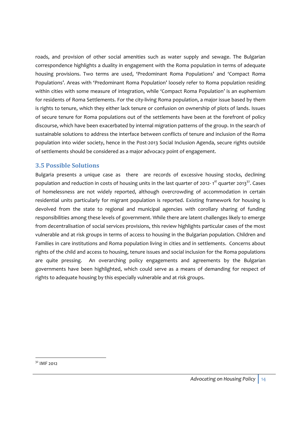roads, and provision of other social amenities such as water supply and sewage. The Bulgarian correspondence highlights a duality in engagement with the Roma population in terms of adequate housing provisions. Two terms are used, 'Predominant Roma Populations' and 'Compact Roma Populations'. Areas with 'Predominant Roma Population' loosely refer to Roma population residing within cities with some measure of integration, while 'Compact Roma Population' is an euphemism for residents of Roma Settlements. For the city-living Roma population, a major issue based by them is rights to tenure, which they either lack tenure or confusion on ownership of plots of lands. Issues of secure tenure for Roma populations out of the settlements have been at the forefront of policy discourse, which have been exacerbated by internal migration patterns of the group. In the search of sustainable solutions to address the interface between conflicts of tenure and inclusion of the Roma population into wider society, hence in the Post-2013 Social Inclusion Agenda, secure rights outside of settlements should be considered as a major advocacy point of engagement.

#### **3.5 Possible Solutions**

Bulgaria presents a unique case as there are records of excessive housing stocks, declining population and reduction in costs of housing units in the last quarter of 2012- 1<sup>st</sup> quarter 2013<sup>32</sup>. Cases of homelessness are not widely reported, although overcrowding of accommodation in certain residential units particularly for migrant population is reported. Existing framework for housing is devolved from the state to regional and municipal agencies with corollary sharing of funding responsibilities among these levels of government. While there are latent challenges likely to emerge from decentralisation of social services provisions, this review highlights particular cases of the most vulnerable and at risk groups in terms of access to housing in the Bulgarian population. Children and Families in care institutions and Roma population living in cities and in settlements. Concerns about rights of the child and access to housing, tenure issues and social inclusion for the Roma populations are quite pressing. An overarching policy engagements and agreements by the Bulgarian governments have been highlighted, which could serve as a means of demanding for respect of rights to adequate housing by this especially vulnerable and at risk groups.

<sup>&</sup>lt;u> Andreas Andreas Andreas Andreas Andreas Andreas Andreas Andreas Andreas Andreas Andreas Andreas Andreas Andreas</u> <sup>32</sup> IMF 2012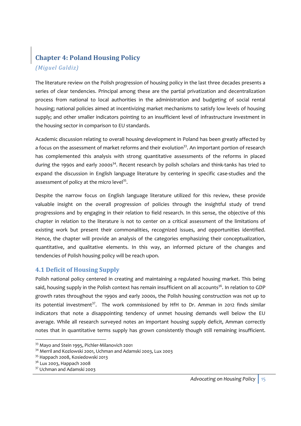# **Chapter 4: Poland Housing Policy** *(Miguel Galdiz)*

The literature review on the Polish progression of housing policy in the last three decades presents a series of clear tendencies. Principal among these are the partial privatization and decentralization process from national to local authorities in the administration and budgeting of social rental housing; national policies aimed at incentivizing market mechanisms to satisfy low levels of housing supply; and other smaller indicators pointing to an insufficient level of infrastructure investment in the housing sector in comparison to EU standards.

Academic discussion relating to overall housing development in Poland has been greatly affected by a focus on the assessment of market reforms and their evolution<sup>33</sup>. An important portion of research has complemented this analysis with strong quantitative assessments of the reforms in placed during the 1990s and early 2000s<sup>34</sup>. Recent research by polish scholars and think-tanks has tried to expand the discussion in English language literature by centering in specific case-studies and the assessment of policy at the micro level $35$ .

Despite the narrow focus on English language literature utilized for this review, these provide valuable insight on the overall progression of policies through the insightful study of trend progressions and by engaging in their relation to field research. In this sense, the objective of this chapter in relation to the literature is not to center on a critical assessment of the limitations of existing work but present their commonalities, recognized issues, and opportunities identified. Hence, the chapter will provide an analysis of the categories emphasizing their conceptualization, quantitative, and qualitative elements. In this way, an informed picture of the changes and tendencies of Polish housing policy will be reach upon.

# **4.1 Deficit of Housing Supply**

Polish national policy centered in creating and maintaining a regulated housing market. This being said, housing supply in the Polish context has remain insufficient on all accounts<sup>36</sup>. In relation to GDP growth rates throughout the 1990s and early 2000s, the Polish housing construction was not up to its potential investment<sup>37</sup>. The work commissioned by HfH to Dr. Amman in 2012 finds similar indicators that note a disappointing tendency of unmet housing demands well below the EU average. While all research surveyed notes an important housing supply deficit, Amman correctly notes that in quantitative terms supply has grown consistently though still remaining insufficient.

<sup>33</sup> Mayo and Stein 1995, Pichler-Milanovich 2001

<sup>34</sup> Merril and Kozlowski 2001, Uchman and Adamski 2003, Lux 2003

<sup>&</sup>lt;sup>35</sup> Happach 2008, Kosiedowski 2013

<sup>&</sup>lt;sup>36</sup> Lux 2003, Happach 2008

<sup>37</sup> Uchman and Adamski 2003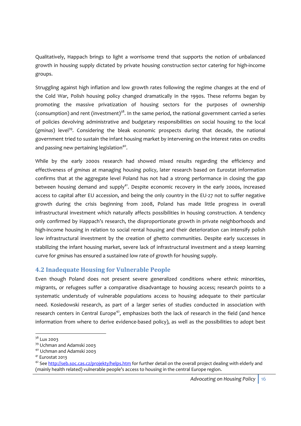Qualitatively, Happach brings to light a worrisome trend that supports the notion of unbalanced growth in housing supply dictated by private housing construction sector catering for high‐income groups.

Struggling against high inflation and low growth rates following the regime changes at the end of the Cold War, Polish housing policy changed dramatically in the 1990s. These reforms began by promoting the massive privatization of housing sectors for the purposes of ownership (consumption) and rent (investment)<sup>38</sup>. In the same period, the national government carried a series of policies devolving administrative and budgetary responsibilities on social housing to the local (*gminas*) level<sup>39</sup>. Considering the bleak economic prospects during that decade, the national government tried to sustain the infant housing market by intervening on the interest rates on credits and passing new pertaining legislation<sup>40</sup>.

While by the early 2000s research had showed mixed results regarding the efficiency and effectiveness of *gminas* at managing housing policy, later research based on Eurostat information confirms that at the aggregate level Poland has not had a strong performance in closing the gap between housing demand and supply<sup>41</sup>. Despite economic recovery in the early 2000s, increased access to capital after EU accession, and being the only country in the EU‐27 not to suffer negative growth during the crisis beginning from 2008, Poland has made little progress in overall infrastructural investment which naturally affects possibilities in housing construction. A tendency only confirmed by Happach's research, the disproportionate growth in private neighborhoods and high-income housing in relation to social rental housing and their deterioration can intensify polish low infrastructural investment by the creation of ghetto communities. Despite early successes in stabilizing the infant housing market, severe lack of infrastructural investment and a steep learning curve for *gminas* has ensured a sustained low rate of growth for housing supply.

#### **4.2 Inadequate Housing for Vulnerable People**

Even though Poland does not present severe generalized conditions where ethnic minorities, migrants, or refugees suffer a comparative disadvantage to housing access; research points to a systematic understudy of vulnerable populations access to housing adequate to their particular need. Kosiedowski research, as part of a larger series of studies conducted in association with research centers in Central Europe<sup>42</sup>, emphasizes both the lack of research in the field (and hence information from where to derive evidence-based policy), as well as the possibilities to adopt best

<sup>&</sup>lt;sup>38</sup> Lux 2003

<sup>39</sup> Uchman and Adamski 2003

<sup>40</sup> Uchman and Adamski 2003

<sup>41</sup> Eurostat 2013

<sup>&</sup>lt;sup>42</sup> See http://seb.soc.cas.cz/projekty/helps.htm for further detail on the overall project dealing with elderly and (mainly health related) vulnerable people's access to housing in the central Europe region.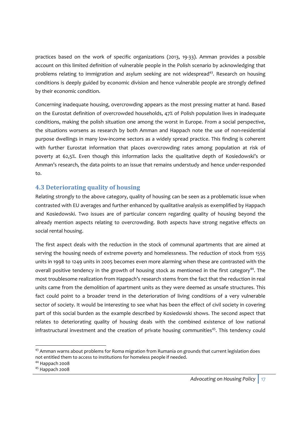practices based on the work of specific organizations (2013, 19‐33). Amman provides a possible account on this limited definition of vulnerable people in the Polish scenario by acknowledging that problems relating to immigration and asylum seeking are not widespread<sup>43</sup>. Research on housing conditions is deeply guided by economic division and hence vulnerable people are strongly defined by their economic condition.

Concerning inadequate housing, overcrowding appears as the most pressing matter at hand. Based on the Eurostat definition of overcrowded households, 47% of Polish population lives in inadequate conditions, making the polish situation one among the worst in Europe. From a social perspective, the situations worsens as research by both Amman and Happach note the use of non-residential purpose dwellings in many low‐income sectors as a widely spread practice. This finding is coherent with further Eurostat information that places overcrowding rates among population at risk of poverty at 62,5%. Even though this information lacks the qualitative depth of Kosiedowski's or Amman's research, the data points to an issue that remains understudy and hence under‐responded to.

# **4.3 Deteriorating quality of housing**

Relating strongly to the above category, quality of housing can be seen as a problematic issue when contrasted with EU averages and further enhanced by qualitative analysis as exemplified by Happach and Kosiedowski. Two issues are of particular concern regarding quality of housing beyond the already mention aspects relating to overcrowding. Both aspects have strong negative effects on social rental housing.

The first aspect deals with the reduction in the stock of communal apartments that are aimed at serving the housing needs of extreme poverty and homelessness. The reduction of stock from 1555 units in 1998 to 1249 units in 2005 becomes even more alarming when these are contrasted with the overall positive tendency in the growth of housing stock as mentioned in the first category<sup>44</sup>. The most troublesome realization from Happach's research stems from the fact that the reduction in real units came from the demolition of apartment units as they were deemed as unsafe structures. This fact could point to a broader trend in the deterioration of living conditions of a very vulnerable sector of society. It would be interesting to see what has been the effect of civil society in covering part of this social burden as the example described by Kosiedowski shows. The second aspect that relates to deteriorating quality of housing deals with the combined existence of low national infrastructural investment and the creation of private housing communities<sup>45</sup>. This tendency could

<sup>&</sup>lt;u> Andreas Andreas Andreas Andreas Andreas Andreas Andreas Andreas Andreas Andreas Andreas Andreas Andreas Andr</u>  $43$  Amman warns about problems for Roma migration from Rumania on grounds that current legislation does not entitled them to access to institutions for homeless people if needed.

<sup>44</sup> Happach 2008

<sup>45</sup> Happach 2008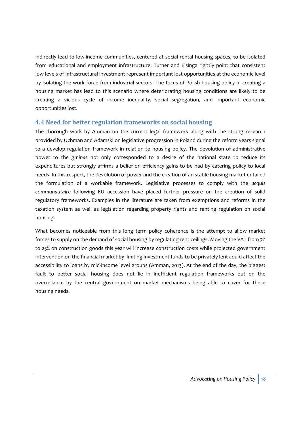indirectly lead to low‐income communities, centered at social rental housing spaces, to be isolated from educational and employment infrastructure. Turner and Elsinga rightly point that consistent low levels of infrastructural investment represent important lost opportunities at the economic level by isolating the work force from industrial sectors. The focus of Polish housing policy in creating a housing market has lead to this scenario where deteriorating housing conditions are likely to be creating a vicious cycle of income inequality, social segregation, and important economic opportunities lost.

#### **4.4 Need for better regulation frameworks on social housing**

The thorough work by Amman on the current legal framework along with the strong research provided by Uchman and Adamski on legislative progression in Poland during the reform years signal to a develop regulation framework in relation to housing policy. The devolution of administrative power to the *gminas* not only corresponded to a desire of the national state to reduce its expenditures but strongly affirms a belief on efficiency gains to be had by catering policy to local needs. In this respect, the devolution of power and the creation of an stable housing market entailed the formulation of a workable framework. Legislative processes to comply with the *acquis communautaire* following EU accession have placed further pressure on the creation of solid regulatory frameworks. Examples in the literature are taken from exemptions and reforms in the taxation system as well as legislation regarding property rights and renting regulation on social housing.

What becomes noticeable from this long term policy coherence is the attempt to allow market forces to supply on the demand of social housing by regulating rent ceilings. Moving the VAT from 7% to 25% on construction goods this year will increase construction costs while projected government intervention on the financial market by limiting investment funds to be privately lent could affect the accessibility to loans by mid‐income level groups (Amman, 2013). At the end of the day, the biggest fault to better social housing does not lie in inefficient regulation frameworks but on the overreliance by the central government on market mechanisms being able to cover for these housing needs.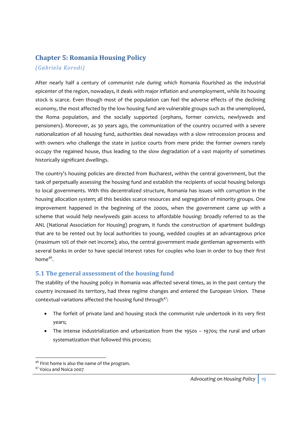# **Chapter 5: Romania Housing Policy**

#### *(Gabriela Korodi)*

After nearly half a century of communist rule during which Romania flourished as the industrial epicenter of the region, nowadays, it deals with major inflation and unemployment, while its housing stock is scarce. Even though most of the population can feel the adverse effects of the declining economy, the most affected by the low housing fund are vulnerable groups such as the unemployed, the Roma population, and the socially supported (orphans, former convicts, newlyweds and pensioners). Moreover, as 30 years ago, the communization of the country occurred with a severe nationalization of all housing fund, authorities deal nowadays with a slow retrocession process and with owners who challenge the state in justice courts from mere pride: the former owners rarely occupy the regained house, thus leading to the slow degradation of a vast majority of sometimes historically significant dwellings.

The country's housing policies are directed from Bucharest, within the central government, but the task of perpetually assessing the housing fund and establish the recipients of social housing belongs to local governments. With this decentralized structure, Romania has issues with corruption in the housing allocation system; all this besides scarce resources and segregation of minority groups. One improvement happened in the beginning of the 2000s, when the government came up with a scheme that would help newlyweds gain access to affordable housing: broadly referred to as the ANL (National Association for Housing) program, it funds the construction of apartment buildings that are to be rented out by local authorities to young, wedded couples at an advantageous price (maximum 10% of their net income); also, the central government made gentleman agreements with several banks in order to have special interest rates for couples who loan in order to buy their first home<sup>46</sup>.

# **5.1 The general assessment of the housing fund**

The stability of the housing policy in Romania was affected several times, as in the past century the country increased its territory, had three regime changes and entered the European Union. These contextual variations affected the housing fund through $47$ :

- The forfeit of private land and housing stock the communist rule undertook in its very first years;
- The intense industrialization and urbanization from the 1950s 1970s; the rural and urban systematization that followed this process;

<sup>&</sup>lt;u> Andreas Andreas Andreas Andreas Andreas Andreas Andreas Andreas Andreas Andreas Andreas Andreas Andreas Andreas</u>  $4^6$  First home is also the name of the program.

<sup>47</sup> Voicu and Noica 2007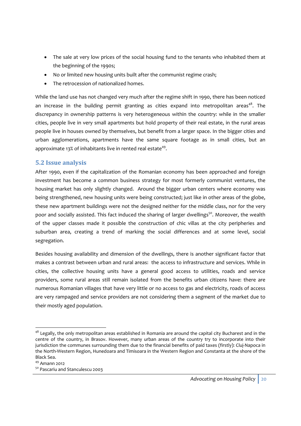- The sale at very low prices of the social housing fund to the tenants who inhabited them at the beginning of the 1990s;
- No or limited new housing units built after the communist regime crash;
- The retrocession of nationalized homes.

While the land use has not changed very much after the regime shift in 1990, there has been noticed an increase in the building permit granting as cities expand into metropolitan areas<sup>48</sup>. The discrepancy in ownership patterns is very heterogeneous within the country: while in the smaller cities, people live in very small apartments but hold property of their real estate, in the rural areas people live in houses owned by themselves, but benefit from a larger space. In the bigger cities and urban agglomerations, apartments have the same square footage as in small cities, but an approximate 13% of inhabitants live in rented real estate<sup>49</sup>.

# **5.2 Issue analysis**

After 1990, even if the capitalization of the Romanian economy has been approached and foreign investment has become a common business strategy for most formerly communist ventures, the housing market has only slightly changed. Around the bigger urban centers where economy was being strengthened, new housing units were being constructed; just like in other areas of the globe, these new apartment buildings were not the designed neither for the middle class, nor for the very poor and socially assisted. This fact induced the sharing of larger dwellings<sup>50</sup>. Moreover, the wealth of the upper classes made it possible the construction of chic villas at the city peripheries and suburban area, creating a trend of marking the social differences and at some level, social segregation.

Besides housing availability and dimension of the dwellings, there is another significant factor that makes a contrast between urban and rural areas: the access to infrastructure and services. While in cities, the collective housing units have a general good access to utilities, roads and service providers, some rural areas still remain isolated from the benefits urban citizens have: there are numerous Romanian villages that have very little or no access to gas and electricity, roads of access are very rampaged and service providers are not considering them a segment of the market due to their mostly aged population.

 $48$  Legally, the only metropolitan areas established in Romania are around the capital city Bucharest and in the centre of the country, in Brasov. However, many urban areas of the country try to incorporate into their jurisdiction the communes surrounding them due to the financial benefits of paid taxes (firstly): Cluj‐Napoca in the North‐Western Region, Hunedoara and Timisoara in the Western Region and Constanta at the shore of the Black Sea.

<sup>49</sup> Amann 2012

<sup>50</sup> Pascariu and Stanculescu 2003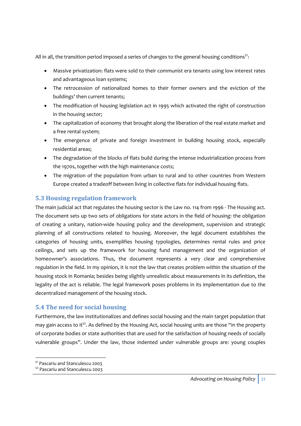All in all, the transition period imposed a series of changes to the general housing conditions<sup>51</sup>:

- Massive privatization: flats were sold to their communist era tenants using low interest rates and advantageous loan systems;
- The retrocession of nationalized homes to their former owners and the eviction of the buildings' then current tenants;
- The modification of housing legislation act in 1995 which activated the right of construction in the housing sector;
- The capitalization of economy that brought along the liberation of the real estate market and a free rental system;
- The emergence of private and foreign investment in building housing stock, especially residential areas;
- The degradation of the blocks of flats build during the intense industrialization process from the 1970s, together with the high maintenance costs;
- The migration of the population from urban to rural and to other countries from Western Europe created a tradeoff between living in collective flats for individual housing flats.

# **5.3 Housing regulation framework**

The main judicial act that regulates the housing sector is the Law no. 114 from 1996 ‐ The Housing act. The document sets up two sets of obligations for state actors in the field of housing: the obligation of creating a unitary, nation‐wide housing policy and the development, supervision and strategic planning of all constructions related to housing. Moreover, the legal document establishes the categories of housing units, exemplifies housing typologies, determines rental rules and price ceilings, and sets up the framework for housing fund management and the organization of homeowner's associations. Thus, the document represents a very clear and comprehensive regulation in the field. In my opinion, it is not the law that creates problem within the situation of the housing stock in Romania; besides being slightly unrealistic about measurements in its definition, the legality of the act is reliable. The legal framework poses problems in its implementation due to the decentralized management of the housing stock.

# **5.4 The need for social housing**

Furthermore, the law institutionalizes and defines social housing and the main target population that may gain access to it<sup>52</sup>. As defined by the Housing Act, social housing units are those "in the property of corporate bodies or state authorities that are used for the satisfaction of housing needs of socially vulnerable groups". Under the law, those indented under vulnerable groups are: young couples

<sup>&</sup>lt;u> Andreas Andreas Andreas Andreas Andreas Andreas Andreas Andreas Andreas Andreas Andreas Andreas Andreas Andreas</u> <sup>51</sup> Pascariu and Stanculescu 2003

<sup>52</sup> Pascariu and Stanculescu 2003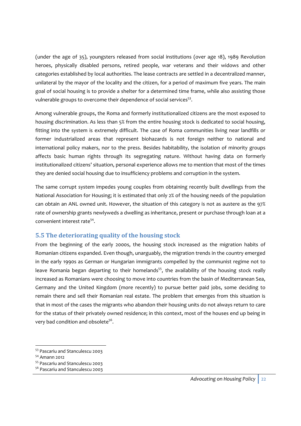(under the age of 35), youngsters released from social institutions (over age 18), 1989 Revolution heroes, physically disabled persons, retired people, war veterans and their widows and other categories established by local authorities. The lease contracts are settled in a decentralized manner, unilateral by the mayor of the locality and the citizen, for a period of maximum five years. The main goal of social housing is to provide a shelter for a determined time frame, while also assisting those vulnerable groups to overcome their dependence of social services<sup>53</sup>.

Among vulnerable groups, the Roma and formerly institutionalized citizens are the most exposed to housing discrimination. As less than 5% from the entire housing stock is dedicated to social housing, fitting into the system is extremely difficult. The case of Roma communities living near landfills or former industrialized areas that represent biohazards is not foreign neither to national and international policy makers, nor to the press. Besides habitability, the isolation of minority groups affects basic human rights through its segregating nature. Without having data on formerly institutionalized citizens' situation, personal experience allows me to mention that most of the times they are denied social housing due to insufficiency problems and corruption in the system.

The same corrupt system impedes young couples from obtaining recently built dwellings from the National Association for Housing; it is estimated that only 2% of the housing needs of the population can obtain an ANL owned unit. However, the situation of this category is not as austere as the 97% rate of ownership grants newlyweds a dwelling as inheritance, present or purchase through loan at a convenient interest rate54.

# **5.5 The deteriorating quality of the housing stock**

From the beginning of the early 2000s, the housing stock increased as the migration habits of Romanian citizens expanded. Even though, unarguably, the migration trends in the country emerged in the early 1990s as German or Hungarian immigrants compelled by the communist regime not to leave Romania began departing to their homelands<sup>55</sup>, the availability of the housing stock really increased as Romanians were choosing to move into countries from the basin of Mediterranean Sea, Germany and the United Kingdom (more recently) to pursue better paid jobs, some deciding to remain there and sell their Romanian real estate. The problem that emerges from this situation is that in most of the cases the migrants who abandon their housing units do not always return to care for the status of their privately owned residence; in this context, most of the houses end up being in very bad condition and obsolete<sup>56</sup>.

<sup>&</sup>lt;u> Andreas Andreas Andreas Andreas Andreas Andreas Andreas Andreas Andreas Andreas Andreas Andreas Andreas Andr</u> <sup>53</sup> Pascariu and Stanculescu 2003

<sup>54</sup> Amann 2012

<sup>55</sup> Pascariu and Stanculescu 2003

<sup>56</sup> Pascariu and Stanculescu 2003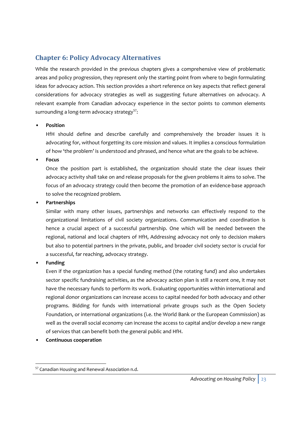# **Chapter 6: Policy Advocacy Alternatives**

While the research provided in the previous chapters gives a comprehensive view of problematic areas and policy progression, they represent only the starting point from where to begin formulating ideas for advocacy action. This section provides a short reference on key aspects that reflect general considerations for advocacy strategies as well as suggesting future alternatives on advocacy. A relevant example from Canadian advocacy experience in the sector points to common elements surrounding a long-term advocacy strategy<sup>57</sup>:

#### • **Position**

HfH should define and describe carefully and comprehensively the broader issues it is advocating for, without forgetting its core mission and values. It implies a conscious formulation of how 'the problem' is understood and phrased, and hence what are the goals to be achieve.

• **Focus**

Once the position part is established, the organization should state the clear issues their advocacy activity shall take on and release proposals for the given problems it aims to solve. The focus of an advocacy strategy could then become the promotion of an evidence-base approach to solve the recognized problem.

#### • **Partnerships**

Similar with many other issues, partnerships and networks can effectively respond to the organizational limitations of civil society organizations. Communication and coordination is hence a crucial aspect of a successful partnership. One which will be needed between the regional, national and local chapters of HfH, Addressing advocacy not only to decision makers but also to potential partners in the private, public, and broader civil society sector is crucial for a successful, far reaching, advocacy strategy.

#### • **Funding**

Even if the organization has a special funding method (the rotating fund) and also undertakes sector specific fundraising activities, as the advocacy action plan is still a recent one, it may not have the necessary funds to perform its work. Evaluating opportunities within international and regional donor organizations can increase access to capital needed for both advocacy and other programs. Bidding for funds with international private groups such as the Open Society Foundation, or international organizations (i.e. the World Bank or the European Commission) as well as the overall social economy can increase the access to capital and/or develop a new range of services that can benefit both the general public and HfH.

• **Continuous cooperation**

<sup>&</sup>lt;u> Andreas Andreas Andreas Andreas Andreas Andreas Andreas Andreas Andreas Andreas Andreas Andreas Andreas Andr</u> <sup>57</sup> Canadian Housing and Renewal Association n.d.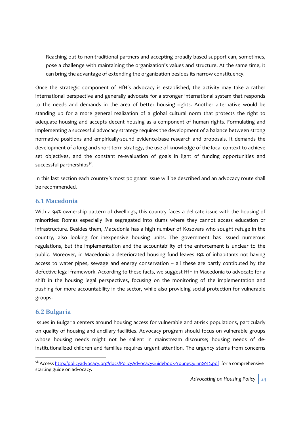Reaching out to non-traditional partners and accepting broadly based support can, sometimes, pose a challenge with maintaining the organization's values and structure. At the same time, it can bring the advantage of extending the organization besides its narrow constituency.

Once the strategic component of HfH's advocacy is established, the activity may take a rather international perspective and generally advocate for a stronger international system that responds to the needs and demands in the area of better housing rights. Another alternative would be standing up for a more general realization of a global cultural norm that protects the right to adequate housing and accepts decent housing as a component of human rights. Formulating and implementing a successful advocacy strategy requires the development of a balance between strong normative positions and empirically‐sound evidence‐base research and proposals. It demands the development of a long and short term strategy, the use of knowledge of the local context to achieve set objectives, and the constant re-evaluation of goals in light of funding opportunities and successful partnerships $5^8$ .

In this last section each country's most poignant issue will be described and an advocacy route shall be recommended.

#### **6.1 Macedonia**

With a 94% ownership pattern of dwellings, this country faces a delicate issue with the housing of minorities: Romas especially live segregated into slums where they cannot access education or infrastructure. Besides them, Macedonia has a high number of Kosovars who sought refuge in the country, also looking for inexpensive housing units. The government has issued numerous regulations, but the implementation and the accountability of the enforcement is unclear to the public. Moreover, in Macedonia a deteriorated housing fund leaves 19% of inhabitants not having access to water pipes, sewage and energy conservation – all these are partly contibuted by the defective legal framework. According to these facts, we suggest HfH in Macedonia to advocate for a shift in the housing legal perspectives, focusing on the monitoring of the implementation and pushing for more accountability in the sector, while also providing social protection for vulnerable groups.

# **6.2 Bulgaria**

Issues in Bulgaria centers around housing access for vulnerable and at-risk populations, particularly on quality of housing and ancillary facilities. Advocacy program should focus on vulnerable groups whose housing needs might not be salient in mainstream discourse; housing needs of deinstitutionalized children and families requires urgent attention. The urgency stems from concerns

<sup>&</sup>lt;u> Andreas Andreas Andreas Andreas Andreas Andreas Andreas Andreas Andreas Andreas Andreas Andreas Andreas Andreas</u> 58 Access http://policyadvocacy.org/docs/PolicyAdvocacyGuidebook-YoungQuinn2012.pdf for a comprehensive starting guide on advocacy.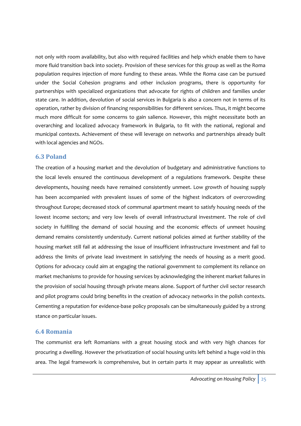not only with room availability, but also with required facilities and help which enable them to have more fluid transition back into society. Provision of these services for this group as well as the Roma population requires injection of more funding to these areas. While the Roma case can be pursued under the Social Cohesion programs and other inclusion programs, there is opportunity for partnerships with specialized organizations that advocate for rights of children and families under state care. In addition, devolution of social services in Bulgaria is also a concern not in terms of its operation, rather by division of financing responsibilities for different services. Thus, it might become much more difficult for some concerns to gain salience. However, this might necessitate both an overarching and localized advocacy framework in Bulgaria, to fit with the national, regional and municipal contexts. Achievement of these will leverage on networks and partnerships already built with local agencies and NGOs.

#### **6.3 Poland**

The creation of a housing market and the devolution of budgetary and administrative functions to the local levels ensured the continuous development of a regulations framework. Despite these developments, housing needs have remained consistently unmeet. Low growth of housing supply has been accompanied with prevalent issues of some of the highest indicators of overcrowding throughout Europe; decreased stock of communal apartment meant to satisfy housing needs of the lowest income sectors; and very low levels of overall infrastructural investment. The role of civil society in fulfilling the demand of social housing and the economic effects of unmeet housing demand remains consistently understudy. Current national policies aimed at further stability of the housing market still fail at addressing the issue of insufficient infrastructure investment and fail to address the limits of private lead investment in satisfying the needs of housing as a merit good. Options for advocacy could aim at engaging the national government to complement its reliance on market mechanisms to provide for housing services by acknowledging the inherent market failures in the provision of social housing through private means alone. Support of further civil sector research and pilot programs could bring benefits in the creation of advocacy networks in the polish contexts. Cementing a reputation for evidence‐base policy proposals can be simultaneously guided by a strong stance on particular issues.

#### **6.4 Romania**

The communist era left Romanians with a great housing stock and with very high chances for procuring a dwelling. However the privatization of social housing units left behind a huge void in this area. The legal framework is comprehensive, but in certain parts it may appear as unrealistic with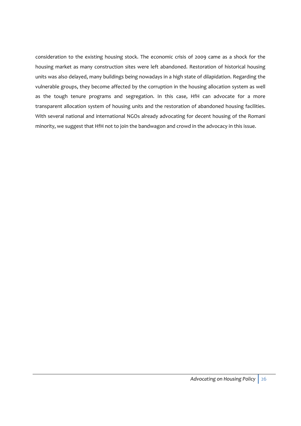consideration to the existing housing stock. The economic crisis of 2009 came as a shock for the housing market as many construction sites were left abandoned. Restoration of historical housing units was also delayed, many buildings being nowadays in a high state of dilapidation. Regarding the vulnerable groups, they become affected by the corruption in the housing allocation system as well as the tough tenure programs and segregation. In this case, HfH can advocate for a more transparent allocation system of housing units and the restoration of abandoned housing facilities. With several national and international NGOs already advocating for decent housing of the Romani minority, we suggest that HfH not to join the bandwagon and crowd in the advocacy in this issue.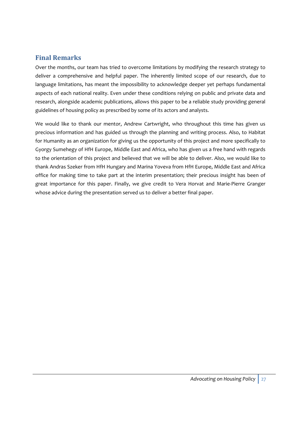# **Final Remarks**

Over the months, our team has tried to overcome limitations by modifying the research strategy to deliver a comprehensive and helpful paper. The inherently limited scope of our research, due to language limitations, has meant the impossibility to acknowledge deeper yet perhaps fundamental aspects of each national reality. Even under these conditions relying on public and private data and research, alongside academic publications, allows this paper to be a reliable study providing general guidelines of housing policy as prescribed by some of its actors and analysts.

We would like to thank our mentor, Andrew Cartwright, who throughout this time has given us precious information and has guided us through the planning and writing process. Also, to Habitat for Humanity as an organization for giving us the opportunity of this project and more specifically to Gyorgy Sumehegy of HfH Europe, Middle East and Africa, who has given us a free hand with regards to the orientation of this project and believed that we will be able to deliver. Also, we would like to thank Andras Szeker from HfH Hungary and Marina Yoveva from HfH Europe, Middle East and Africa office for making time to take part at the interim presentation; their precious insight has been of great importance for this paper. Finally, we give credit to Vera Horvat and Marie‐Pierre Granger whose advice during the presentation served us to deliver a better final paper.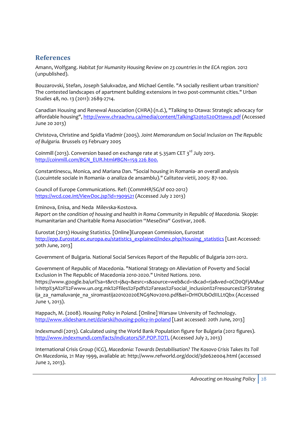# **References**

Amann, Wolfgang. *Habitat for Humanity Housing Review on 23 countries in the ECA region.* 2012 (unpublished).

Bouzarovski, Stefan, Joseph Salukvadze, and Michael Gentile. "A socially resilient urban transition? The contested landscapes of apartment building extensions in two post‐communist cities." *Urban Studies* 48, no. 13 (2011): 2689‐2714.

Canadian Housing and Renewal Association (CHRA) (n.d.), "Talking to Otawa: Strategic advocacy for affordable housing", http://www.chraachru.ca/media/content/Talking%20to%20Ottawa.pdf (Accessed June 20 2013)

Christova, Christine and Spidla Vladmir (2005). *Joint Memorandum on Social Inclusion on The Republic of Bulgaria.* Brussels 03 February 2005

Coinmill (2013). Conversion based on exchange rate at 5.35am CET 3<sup>rd</sup> July 2013. http://coinmill.com/BGN\_EUR.html#BGN=159 226 800.

Constantinescu, Monica, and Mariana Dan. "Social housing in Romania‐ an overall analysis (Locuintele sociale in Romania‐ o analiza de ansamblu)." *Calitatea vietii*, 2005: 87‐100.

Council of Europe Communications. Ref: (CommHR/SG/sf 002‐2012) https://wcd.coe.int/ViewDoc.jsp?id=1909521 (Accessed July 2 2013)

Eminova, Enisa, and Neda Milevska‐Kostova. *Report on the condition of housing and health in Roma Community in Republic of Macedonia.* Skopje: Humanitarian and Charitable Roma Association "Mesečina" Gostivar, 2008.

Eurostat (2013) *Housing Statistics.* [Online]European Commission, Eurostat http://epp.Eurostat.ec.europa.eu/statistics\_explained/index.php/Housing\_statistics [Last Accessed: 30th June, 2013]

Government of Bulgaria. National Social Services Report of the Republic of Bulgaria 2011‐2012.

Government of Republic of Macedonia. "National Strategy on Alleviation of Poverty and Social Exclusion in The Republic of Macedonia 2010‐2020." *United Nations.* 2010. https://www.google.ba/url?sa=t&rct=j&q=&esrc=s&source=web&cd=1&cad=rja&ved=0CD0QFjAA&ur l=http%3A%2F%2Fwww.un.org.mk%2Ffiles%2Fpdfs%2Fareas%2Fsocial\_inclusion%2Fresources%2FStrateg ija za namaluvanje na siromastija20102020ENG9Nov2010.pdf&ei=DrHOUbOdIILLtQbx (Accessed June 1, 2013).

Happach, M. (2008). *Housing Policy in Poland.* [Online] Warsaw University of Technology. http://www.slideshare.net/dziarski/housing-policy-in-poland [Last accessed: 20th June, 2013]

Indexmundi (2013). Calculated using the World Bank Population figure for Bulgaria (2012 figures). http://www.indexmundi.com/facts/indicators/SP.POP.TOTL (Accessed July 2, 2013)

International Crisis Group (ICG), *Macedonia: Towards Destabilisation? The Kosovo Crisis Takes Its Toll On Macedonia*, 21 May 1999, available at: http://www.refworld.org/docid/3de62e004.html (accessed June 2, 2013).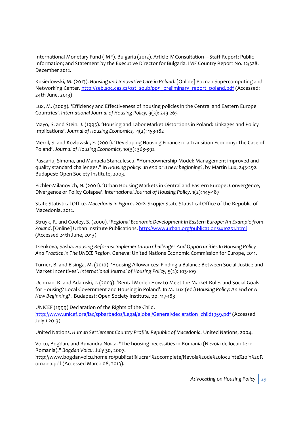International Monetary Fund (IMF). Bulgaria (2012). Article IV Consultation—Staff Report; Public Information; and Statement by the Executive Director for Bulgaria. IMF Country Report No. 12/328. December 2012.

Kosiedowski, M. (2013). *Housing and Innovative Care in Poland.* [Online] Poznan Supercomputing and Networking Center. http://seb.soc.cas.cz/ost\_soub/pp9\_preliminary\_report\_poland.pdf (Accessed: 24th June, 2013)

Lux, M. (2003). 'Efficiency and Effectiveness of housing policies in the Central and Eastern Europe Countries'. *International Journal of Housing Policy,* 3(3): 243‐265

Mayo, S. and Stein, J. (1995). 'Housing and Labor Market Distortions in Poland: Linkages and Policy Implications'. *Journal of Housing Economics,* 4(2): 153‐182

Merril, S. and Kozlowski, E. (2001). 'Developing Housing Finance in a Transition Economy: The Case of Poland'. *Journal of Housing Economics,* 10(3): 363‐392

Pascariu, Simona, and Manuela Stanculescu. "Homeownership Model: Management improved and quality standard challenges." In *Housing policy: an end or a new beginning?*, by Martin Lux, 243‐292. Budapest: Open Society Institute, 2003.

Pichler‐Milanovich, N. (2001). 'Urban Housing Markets in Central and Eastern Europe: Convergence, Divergence or Policy Colapse'. *International Journal of Housing Policy,* 1(2): 145‐187

State Statistical Office. *Macedonia in Figures 2012.* Skopje: State Statistical Office of the Republic of Macedonia, 2012.

Struyk, R. and Cooley, S. (2000). *'Regional Economic Development in Eastern Europe: An Example from Poland*. [Online] Urban Institute Publications. http://www.urban.org/publications/410251.html (Accessed 24th June, 2013)

Tsenkova, Sasha. *Housing Reforms: Implementation Challenges And Opportunities In Housing Policy And Practice In The UNECE Region.* Geneva: United Nations Economic Commission for Europe, 2011.

Turner, B. and Elsinga, M. (2010). 'Housing Allowances: Finding a Balance Between Social Justice and Market Incentives'. *International Journal of Housing Policy,* 5(2): 103‐109

Uchman, R. and Adamski, J. (2003). 'Rental Model: How to Meet the Market Rules and Social Goals for Housing? Local Government and Housing in Poland'. In M. Lux (ed.) *Housing Policy: An End or A New Beginning?* . Budapest: Open Society Institute, pp. 117‐183

UNICEF (1999) Declaration of the Rights of the Child.

http://www.unicef.org/lac/spbarbados/Legal/global/General/declaration\_child1959.pdf (Accessed July 1 2013)

United Nations. *Human Settlement Country Profile: Republic of Macedonia.* United Nations, 2004.

Voicu, Bogdan, and Ruxandra Noica. "The housing necessities in Romania (Nevoia de locuinte in Romania)." *Bogdan Voicu.* July 30, 2007.

http://www.bogdanvoicu.home.ro/publicatii/lucrari%20complete/Nevoia%20de%20locuinte%20in%20R omania.pdf (Accessed March 08, 2013).